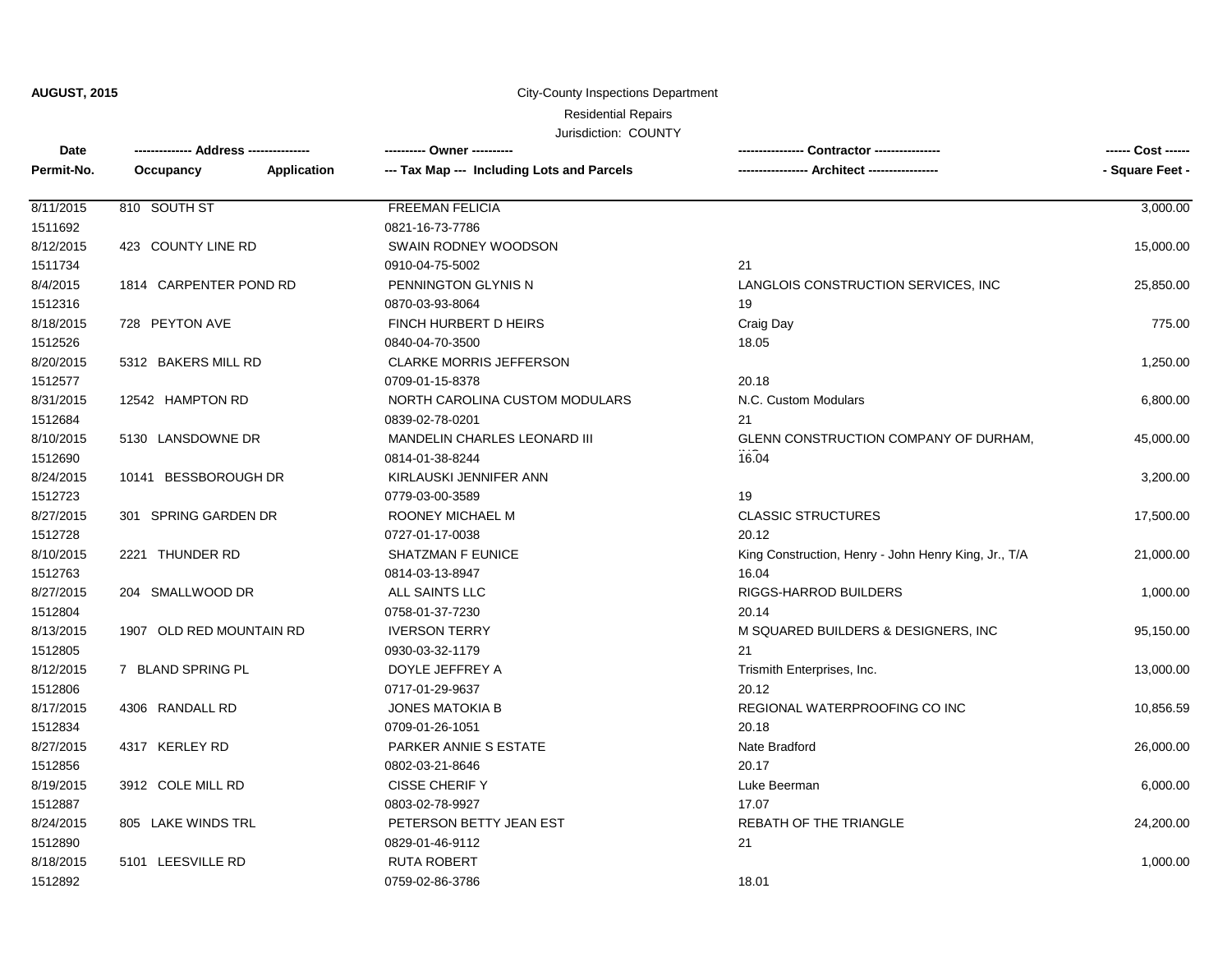**AUGUST, 2015**

#### City-County Inspections Department

Residential Repairs

### Jurisdiction: COUNTY

| Date       |                          |             | ---------- Owner ----------                |                                                      | ------ Cost ------ |
|------------|--------------------------|-------------|--------------------------------------------|------------------------------------------------------|--------------------|
| Permit-No. | Occupancy                | Application | --- Tax Map --- Including Lots and Parcels | --- Architect -----------------                      | - Square Feet -    |
| 8/11/2015  | 810 SOUTH ST             |             | <b>FREEMAN FELICIA</b>                     |                                                      | 3,000.00           |
| 1511692    |                          |             | 0821-16-73-7786                            |                                                      |                    |
| 8/12/2015  | 423 COUNTY LINE RD       |             | SWAIN RODNEY WOODSON                       |                                                      | 15,000.00          |
| 1511734    |                          |             | 0910-04-75-5002                            | 21                                                   |                    |
| 8/4/2015   | 1814 CARPENTER POND RD   |             | PENNINGTON GLYNIS N                        | LANGLOIS CONSTRUCTION SERVICES, INC                  | 25,850.00          |
| 1512316    |                          |             | 0870-03-93-8064                            | 19                                                   |                    |
| 8/18/2015  | 728 PEYTON AVE           |             | FINCH HURBERT D HEIRS                      | Craig Day                                            | 775.00             |
| 1512526    |                          |             | 0840-04-70-3500                            | 18.05                                                |                    |
| 8/20/2015  | 5312 BAKERS MILL RD      |             | <b>CLARKE MORRIS JEFFERSON</b>             |                                                      | 1,250.00           |
| 1512577    |                          |             | 0709-01-15-8378                            | 20.18                                                |                    |
| 8/31/2015  | 12542 HAMPTON RD         |             | NORTH CAROLINA CUSTOM MODULARS             | N.C. Custom Modulars                                 | 6,800.00           |
| 1512684    |                          |             | 0839-02-78-0201                            | 21                                                   |                    |
| 8/10/2015  | 5130 LANSDOWNE DR        |             | MANDELIN CHARLES LEONARD III               | GLENN CONSTRUCTION COMPANY OF DURHAM,                | 45,000.00          |
| 1512690    |                          |             | 0814-01-38-8244                            | 16.04                                                |                    |
| 8/24/2015  | 10141 BESSBOROUGH DR     |             | KIRLAUSKI JENNIFER ANN                     |                                                      | 3,200.00           |
| 1512723    |                          |             | 0779-03-00-3589                            | 19                                                   |                    |
| 8/27/2015  | 301 SPRING GARDEN DR     |             | ROONEY MICHAEL M                           | <b>CLASSIC STRUCTURES</b>                            | 17,500.00          |
| 1512728    |                          |             | 0727-01-17-0038                            | 20.12                                                |                    |
| 8/10/2015  | 2221 THUNDER RD          |             | <b>SHATZMAN F EUNICE</b>                   | King Construction, Henry - John Henry King, Jr., T/A | 21,000.00          |
| 1512763    |                          |             | 0814-03-13-8947                            | 16.04                                                |                    |
| 8/27/2015  | 204 SMALLWOOD DR         |             | ALL SAINTS LLC                             | RIGGS-HARROD BUILDERS                                | 1,000.00           |
| 1512804    |                          |             | 0758-01-37-7230                            | 20.14                                                |                    |
| 8/13/2015  | 1907 OLD RED MOUNTAIN RD |             | <b>IVERSON TERRY</b>                       | M SQUARED BUILDERS & DESIGNERS, INC.                 | 95,150.00          |
| 1512805    |                          |             | 0930-03-32-1179                            | 21                                                   |                    |
| 8/12/2015  | 7 BLAND SPRING PL        |             | DOYLE JEFFREY A                            | Trismith Enterprises, Inc.                           | 13,000.00          |
| 1512806    |                          |             | 0717-01-29-9637                            | 20.12                                                |                    |
| 8/17/2015  | 4306 RANDALL RD          |             | <b>JONES MATOKIA B</b>                     | REGIONAL WATERPROOFING CO INC                        | 10,856.59          |
| 1512834    |                          |             | 0709-01-26-1051                            | 20.18                                                |                    |
| 8/27/2015  | 4317 KERLEY RD           |             | PARKER ANNIE S ESTATE                      | Nate Bradford                                        | 26,000.00          |
| 1512856    |                          |             | 0802-03-21-8646                            | 20.17                                                |                    |
| 8/19/2015  | 3912 COLE MILL RD        |             | <b>CISSE CHERIFY</b>                       | Luke Beerman                                         | 6,000.00           |
| 1512887    |                          |             | 0803-02-78-9927                            | 17.07                                                |                    |
| 8/24/2015  | 805 LAKE WINDS TRL       |             | PETERSON BETTY JEAN EST                    | <b>REBATH OF THE TRIANGLE</b>                        | 24,200.00          |
| 1512890    |                          |             | 0829-01-46-9112                            | 21                                                   |                    |
| 8/18/2015  | 5101 LEESVILLE RD        |             | <b>RUTA ROBERT</b>                         |                                                      | 1,000.00           |
| 1512892    |                          |             | 0759-02-86-3786                            | 18.01                                                |                    |